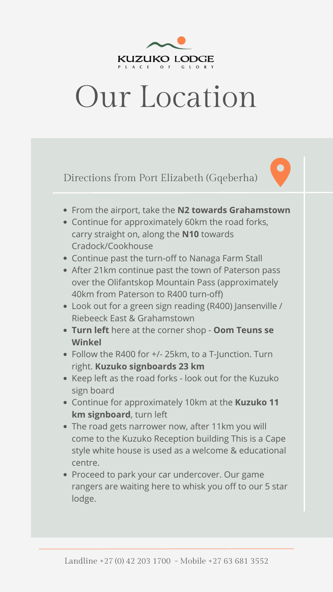

# Our Location

- From the airport, take the **N2 towards Grahamstown**
- Continue for approximately 60km the road forks, carry straight on, along the **N10** towards Cradock/Cookhouse
- Continue past the turn-off to Nanaga Farm Stall
- After 21km continue past the town of Paterson pass over the Olifantskop Mountain Pass (approximately 40km from Paterson to R400 turn-off)
- Look out for a green sign reading (R400) Jansenville / Riebeeck East & Grahamstown
- **Turn left** here at the corner shop **Oom Teuns se Winkel**
- Follow the R400 for +/- 25km, to a T-Junction. Turn right. **Kuzuko signboards 23 km**
- 
- Keep left as the road forks look out for the Kuzuko sign board
- Continue for approximately 10km at the **Kuzuko 11 km signboard**, turn left
- The road gets narrower now, after 11km you will  $\bullet$ come to the Kuzuko Reception building This is a Cape style white house is used as a welcome & educational centre.
- Proceed to park your car undercover. Our game rangers are waiting here to whisk you off to our 5 star lodge.

Directions from Port Elizabeth (Gqeberha)